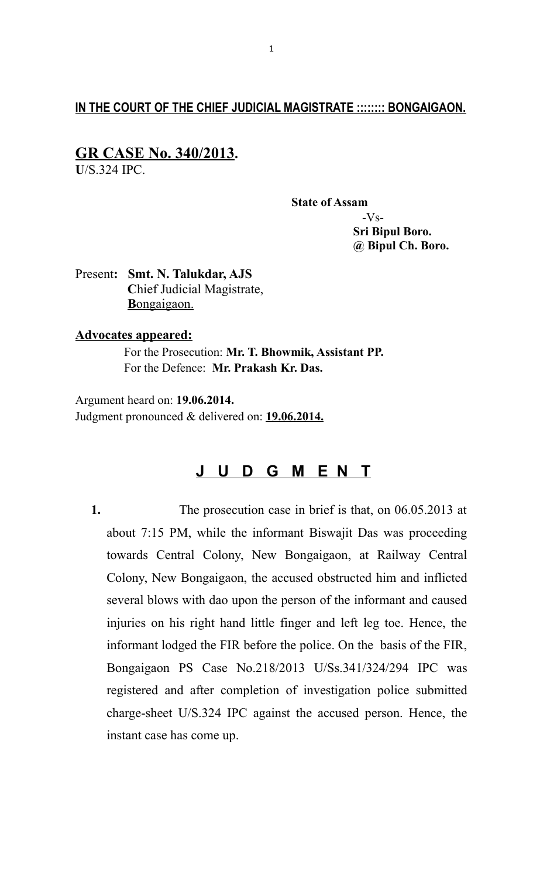## **IN THE COURT OF THE CHIEF JUDICIAL MAGISTRATE :::::::: BONGAIGAON.**

# **GR CASE No. 340/2013.**

**U**/S.324 IPC.

**State of Assam**

 -Vs-  **Sri Bipul Boro. @ Bipul Ch. Boro.**

Present**: Smt. N. Talukdar, AJS C**hief Judicial Magistrate,  **B** ongaigaon.

### **Advocates appeared:**

 For the Prosecution: **Mr. T. Bhowmik, Assistant PP.** For the Defence: **Mr. Prakash Kr. Das.**

Argument heard on: **19.06.2014.** Judgment pronounced & delivered on: **19.06.2014.**

# **J U D G M E N T**

**1.** The prosecution case in brief is that, on 06.05.2013 at about 7:15 PM, while the informant Biswajit Das was proceeding towards Central Colony, New Bongaigaon, at Railway Central Colony, New Bongaigaon, the accused obstructed him and inflicted several blows with dao upon the person of the informant and caused injuries on his right hand little finger and left leg toe. Hence, the informant lodged the FIR before the police. On the basis of the FIR, Bongaigaon PS Case No.218/2013 U/Ss.341/324/294 IPC was registered and after completion of investigation police submitted charge-sheet U/S.324 IPC against the accused person. Hence, the instant case has come up.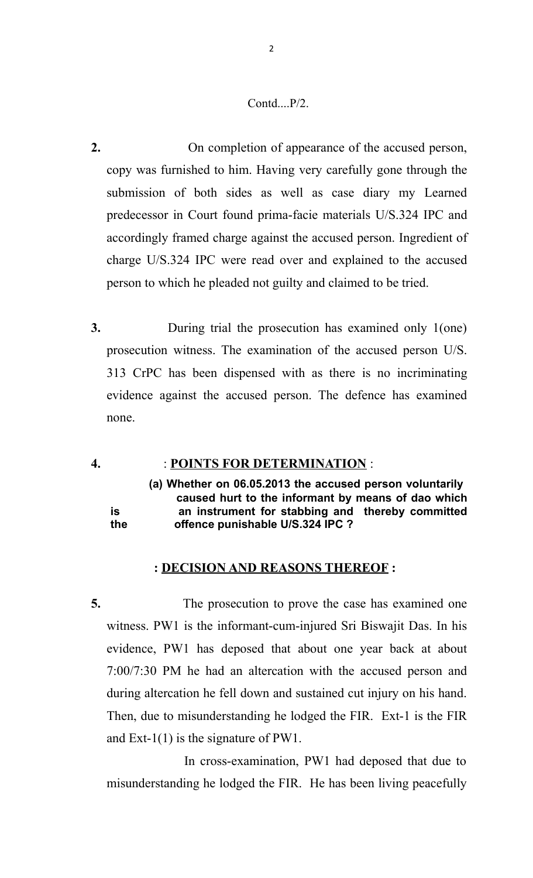### Contd....P/2.

- **2.** On completion of appearance of the accused person, copy was furnished to him. Having very carefully gone through the submission of both sides as well as case diary my Learned predecessor in Court found prima-facie materials U/S.324 IPC and accordingly framed charge against the accused person. Ingredient of charge U/S.324 IPC were read over and explained to the accused person to which he pleaded not guilty and claimed to be tried.
- **3.** During trial the prosecution has examined only 1(one) prosecution witness. The examination of the accused person U/S. 313 CrPC has been dispensed with as there is no incriminating evidence against the accused person. The defence has examined none.

### **4.** : **POINTS FOR DETERMINATION** :

**(a) Whether on 06.05.2013 the accused person voluntarily caused hurt to the informant by means of dao which is an instrument for stabbing and thereby committed the offence punishable U/S.324 IPC ?**

### **: DECISION AND REASONS THEREOF :**

**5.** The prosecution to prove the case has examined one witness. PW1 is the informant-cum-injured Sri Biswajit Das. In his evidence, PW1 has deposed that about one year back at about 7:00/7:30 PM he had an altercation with the accused person and during altercation he fell down and sustained cut injury on his hand. Then, due to misunderstanding he lodged the FIR. Ext-1 is the FIR and Ext-1(1) is the signature of PW1.

 In cross-examination, PW1 had deposed that due to misunderstanding he lodged the FIR. He has been living peacefully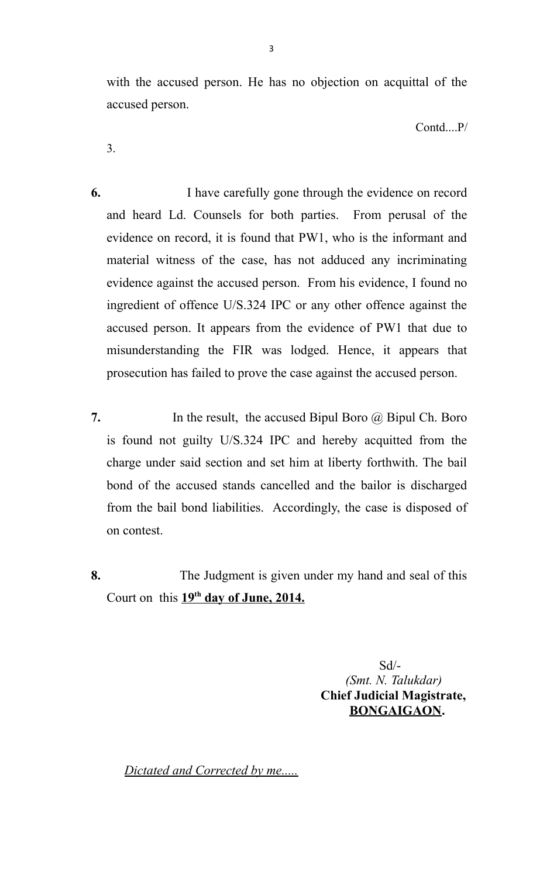with the accused person. He has no objection on acquittal of the accused person.

Contd....P/

3.

- **6.** I have carefully gone through the evidence on record and heard Ld. Counsels for both parties. From perusal of the evidence on record, it is found that PW1, who is the informant and material witness of the case, has not adduced any incriminating evidence against the accused person. From his evidence, I found no ingredient of offence U/S.324 IPC or any other offence against the accused person. It appears from the evidence of PW1 that due to misunderstanding the FIR was lodged. Hence, it appears that prosecution has failed to prove the case against the accused person.
- **7.** In the result, the accused Bipul Boro @ Bipul Ch. Boro is found not guilty U/S.324 IPC and hereby acquitted from the charge under said section and set him at liberty forthwith. The bail bond of the accused stands cancelled and the bailor is discharged from the bail bond liabilities. Accordingly, the case is disposed of on contest.
- **8.** The Judgment is given under my hand and seal of this Court on this  $19^{th}$  day of June, 2014.

 Sd/- *(Smt. N. Talukdar)*  **Chief Judicial Magistrate, BONGAIGAON.**

*Dictated and Corrected by me.....*

3